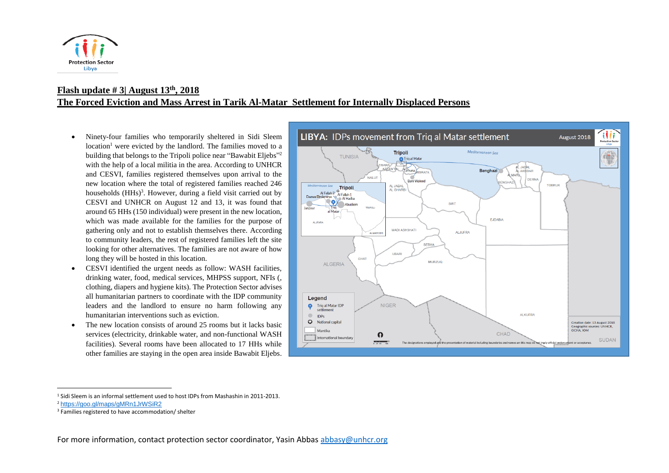

## **Flash update # 3| August 13th, 2018 The Forced Eviction and Mass Arrest in Tarik Al-Matar Settlement for Internally Displaced Persons**

- Ninety-four families who temporarily sheltered in Sidi Sleem  $location<sup>1</sup>$  were evicted by the landlord. The families moved to a building that belongs to the Tripoli police near "Bawabit Eljebs"<sup>2</sup> with the help of a local militia in the area. According to UNHCR and CESVI, families registered themselves upon arrival to the new location where the total of registered families reached 246 households (HHs)<sup>3</sup>. However, during a field visit carried out by CESVI and UNHCR on August 12 and 13, it was found that around 65 HHs (150 individual) were present in the new location, which was made available for the families for the purpose of gathering only and not to establish themselves there. According to community leaders, the rest of registered families left the site looking for other alternatives. The families are not aware of how long they will be hosted in this location.
- CESVI identified the urgent needs as follow: WASH facilities, drinking water, food, medical services, MHPSS support, NFIs (, clothing, diapers and hygiene kits). The Protection Sector advises all humanitarian partners to coordinate with the IDP community leaders and the landlord to ensure no harm following any humanitarian interventions such as eviction.
- The new location consists of around 25 rooms but it lacks basic services (electricity, drinkable water, and non-functional WASH facilities). Several rooms have been allocated to 17 HHs while other families are staying in the open area inside Bawabit Eljebs.



 $\overline{a}$ 

<sup>1</sup> Sidi Sleem is an informal settlement used to host IDPs from Mashashin in 2011-2013.

<sup>2</sup> <https://goo.gl/maps/gMRn1JrWSiR2>

<sup>&</sup>lt;sup>3</sup> Families registered to have accommodation/ shelter